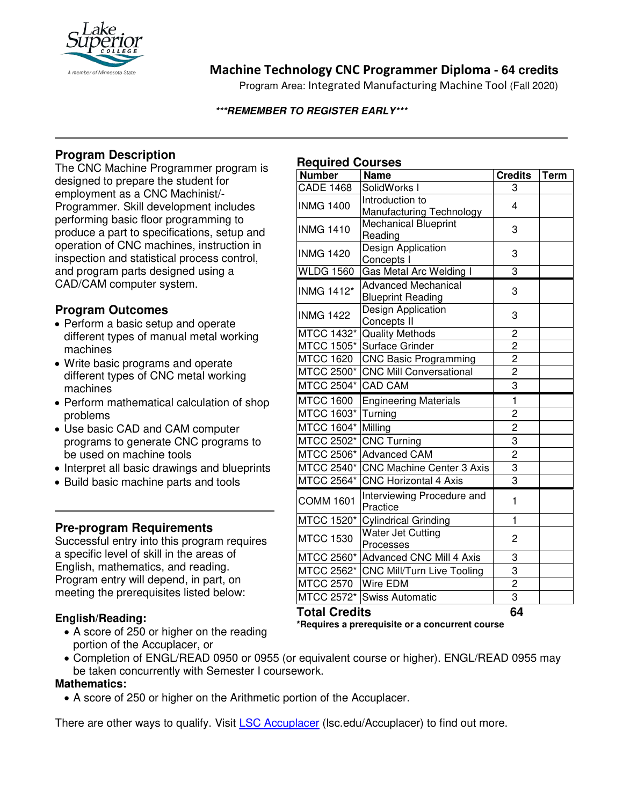

## **Machine Technology CNC Programmer Diploma - 64 credits**

Program Area: Integrated Manufacturing Machine Tool (Fall 2020)

#### **\*\*\*REMEMBER TO REGISTER EARLY\*\*\***

## **Program Description**

The CNC Machine Programmer program is designed to prepare the student for employment as a CNC Machinist/- Programmer. Skill development includes performing basic floor programming to produce a part to specifications, setup and operation of CNC machines, instruction in inspection and statistical process control, and program parts designed using a CAD/CAM computer system.

### **Program Outcomes**

- Perform a basic setup and operate different types of manual metal working machines
- Write basic programs and operate different types of CNC metal working machines
- Perform mathematical calculation of shop problems
- Use basic CAD and CAM computer programs to generate CNC programs to be used on machine tools
- Interpret all basic drawings and blueprints
- Build basic machine parts and tools

### **Pre-program Requirements**

Successful entry into this program requires a specific level of skill in the areas of English, mathematics, and reading. Program entry will depend, in part, on meeting the prerequisites listed below:

#### **English/Reading:**

• A score of 250 or higher on the reading portion of the Accuplacer, or

## **Required Courses**

| <b>Number</b>        | <b>Name</b>                                            | <b>Credits</b> | <b>Term</b> |
|----------------------|--------------------------------------------------------|----------------|-------------|
| <b>CADE 1468</b>     | SolidWorks I                                           | 3              |             |
| <b>INMG 1400</b>     | Introduction to                                        | 4              |             |
|                      | Manufacturing Technology                               |                |             |
| <b>INMG 1410</b>     | <b>Mechanical Blueprint</b><br>Reading                 | 3              |             |
| <b>INMG 1420</b>     | Design Application<br>Concepts I                       | 3              |             |
| <b>WLDG 1560</b>     | Gas Metal Arc Welding I                                | 3              |             |
| <b>INMG 1412*</b>    | <b>Advanced Mechanical</b><br><b>Blueprint Reading</b> | 3              |             |
| <b>INMG 1422</b>     | Design Application<br>Concepts II                      | 3              |             |
| MTCC 1432*           | <b>Quality Methods</b>                                 | $\overline{2}$ |             |
| <b>MTCC 1505*</b>    | Surface Grinder                                        | $\overline{2}$ |             |
| <b>MTCC 1620</b>     | <b>CNC Basic Programming</b>                           | $\overline{c}$ |             |
| MTCC 2500*           | <b>CNC Mill Conversational</b>                         | $\overline{c}$ |             |
| MTCC 2504*           | <b>CAD CAM</b>                                         | 3              |             |
| <b>MTCC 1600</b>     | <b>Engineering Materials</b>                           | $\mathbf{1}$   |             |
| <b>MTCC 1603*</b>    | Turning                                                | $\overline{c}$ |             |
| MTCC 1604*           | Milling                                                | $\overline{c}$ |             |
| MTCC 2502*           | <b>CNC Turning</b>                                     | 3              |             |
| MTCC 2506*           | <b>Advanced CAM</b>                                    | $\overline{2}$ |             |
| <b>MTCC 2540*</b>    | <b>CNC Machine Center 3 Axis</b>                       | 3              |             |
| MTCC 2564*           | <b>CNC Horizontal 4 Axis</b>                           | 3              |             |
| <b>COMM 1601</b>     | Interviewing Procedure and<br>Practice                 | 1              |             |
| MTCC 1520*           | <b>Cylindrical Grinding</b>                            | 1              |             |
| <b>MTCC 1530</b>     | Water Jet Cutting<br>Processes                         | 2              |             |
| MTCC 2560*           | <b>Advanced CNC Mill 4 Axis</b>                        | 3              |             |
| MTCC 2562*           | CNC Mill/Turn Live Tooling                             | 3              |             |
| <b>MTCC 2570</b>     | Wire EDM                                               | $\overline{2}$ |             |
| MTCC 2572*           | <b>Swiss Automatic</b>                                 | $\overline{3}$ |             |
| <b>Total Credits</b> |                                                        | 64             |             |

**\*Requires a prerequisite or a concurrent course**

• Completion of ENGL/READ 0950 or 0955 (or equivalent course or higher). ENGL/READ 0955 may be taken concurrently with Semester I coursework.

#### **Mathematics:**

• A score of 250 or higher on the Arithmetic portion of the Accuplacer.

There are other ways to qualify. Visit LSC Accuplacer (lsc.edu/Accuplacer) to find out more.